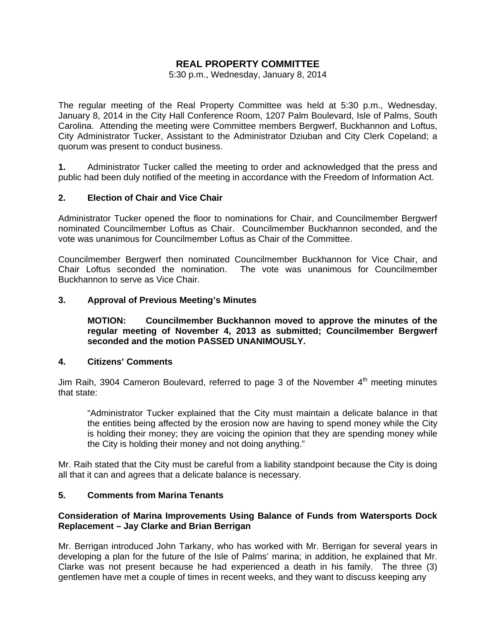# **REAL PROPERTY COMMITTEE**

5:30 p.m., Wednesday, January 8, 2014

The regular meeting of the Real Property Committee was held at 5:30 p.m., Wednesday, January 8, 2014 in the City Hall Conference Room, 1207 Palm Boulevard, Isle of Palms, South Carolina. Attending the meeting were Committee members Bergwerf, Buckhannon and Loftus, City Administrator Tucker, Assistant to the Administrator Dziuban and City Clerk Copeland; a quorum was present to conduct business.

**1.** Administrator Tucker called the meeting to order and acknowledged that the press and public had been duly notified of the meeting in accordance with the Freedom of Information Act.

### **2. Election of Chair and Vice Chair**

Administrator Tucker opened the floor to nominations for Chair, and Councilmember Bergwerf nominated Councilmember Loftus as Chair. Councilmember Buckhannon seconded, and the vote was unanimous for Councilmember Loftus as Chair of the Committee.

Councilmember Bergwerf then nominated Councilmember Buckhannon for Vice Chair, and Chair Loftus seconded the nomination. The vote was unanimous for Councilmember Buckhannon to serve as Vice Chair.

### **3. Approval of Previous Meeting's Minutes**

 **MOTION: Councilmember Buckhannon moved to approve the minutes of the regular meeting of November 4, 2013 as submitted; Councilmember Bergwerf seconded and the motion PASSED UNANIMOUSLY.** 

#### **4. Citizens' Comments**

Jim Raih, 3904 Cameron Boulevard, referred to page 3 of the November  $4<sup>th</sup>$  meeting minutes that state:

 "Administrator Tucker explained that the City must maintain a delicate balance in that the entities being affected by the erosion now are having to spend money while the City is holding their money; they are voicing the opinion that they are spending money while the City is holding their money and not doing anything."

Mr. Raih stated that the City must be careful from a liability standpoint because the City is doing all that it can and agrees that a delicate balance is necessary.

### **5. Comments from Marina Tenants**

### **Consideration of Marina Improvements Using Balance of Funds from Watersports Dock Replacement – Jay Clarke and Brian Berrigan**

Mr. Berrigan introduced John Tarkany, who has worked with Mr. Berrigan for several years in developing a plan for the future of the Isle of Palms' marina; in addition, he explained that Mr. Clarke was not present because he had experienced a death in his family. The three (3) gentlemen have met a couple of times in recent weeks, and they want to discuss keeping any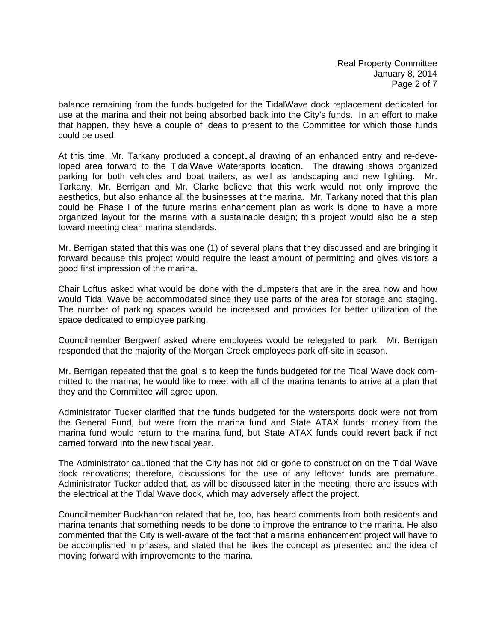balance remaining from the funds budgeted for the TidalWave dock replacement dedicated for use at the marina and their not being absorbed back into the City's funds. In an effort to make that happen, they have a couple of ideas to present to the Committee for which those funds could be used.

At this time, Mr. Tarkany produced a conceptual drawing of an enhanced entry and re-developed area forward to the TidalWave Watersports location. The drawing shows organized parking for both vehicles and boat trailers, as well as landscaping and new lighting. Mr. Tarkany, Mr. Berrigan and Mr. Clarke believe that this work would not only improve the aesthetics, but also enhance all the businesses at the marina. Mr. Tarkany noted that this plan could be Phase I of the future marina enhancement plan as work is done to have a more organized layout for the marina with a sustainable design; this project would also be a step toward meeting clean marina standards.

Mr. Berrigan stated that this was one (1) of several plans that they discussed and are bringing it forward because this project would require the least amount of permitting and gives visitors a good first impression of the marina.

Chair Loftus asked what would be done with the dumpsters that are in the area now and how would Tidal Wave be accommodated since they use parts of the area for storage and staging. The number of parking spaces would be increased and provides for better utilization of the space dedicated to employee parking.

Councilmember Bergwerf asked where employees would be relegated to park. Mr. Berrigan responded that the majority of the Morgan Creek employees park off-site in season.

Mr. Berrigan repeated that the goal is to keep the funds budgeted for the Tidal Wave dock committed to the marina; he would like to meet with all of the marina tenants to arrive at a plan that they and the Committee will agree upon.

Administrator Tucker clarified that the funds budgeted for the watersports dock were not from the General Fund, but were from the marina fund and State ATAX funds; money from the marina fund would return to the marina fund, but State ATAX funds could revert back if not carried forward into the new fiscal year.

The Administrator cautioned that the City has not bid or gone to construction on the Tidal Wave dock renovations; therefore, discussions for the use of any leftover funds are premature. Administrator Tucker added that, as will be discussed later in the meeting, there are issues with the electrical at the Tidal Wave dock, which may adversely affect the project.

Councilmember Buckhannon related that he, too, has heard comments from both residents and marina tenants that something needs to be done to improve the entrance to the marina. He also commented that the City is well-aware of the fact that a marina enhancement project will have to be accomplished in phases, and stated that he likes the concept as presented and the idea of moving forward with improvements to the marina.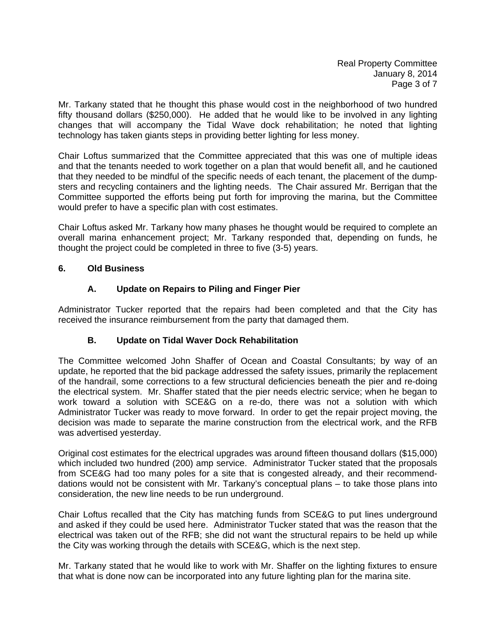Mr. Tarkany stated that he thought this phase would cost in the neighborhood of two hundred fifty thousand dollars (\$250,000). He added that he would like to be involved in any lighting changes that will accompany the Tidal Wave dock rehabilitation; he noted that lighting technology has taken giants steps in providing better lighting for less money.

Chair Loftus summarized that the Committee appreciated that this was one of multiple ideas and that the tenants needed to work together on a plan that would benefit all, and he cautioned that they needed to be mindful of the specific needs of each tenant, the placement of the dumpsters and recycling containers and the lighting needs. The Chair assured Mr. Berrigan that the Committee supported the efforts being put forth for improving the marina, but the Committee would prefer to have a specific plan with cost estimates.

Chair Loftus asked Mr. Tarkany how many phases he thought would be required to complete an overall marina enhancement project; Mr. Tarkany responded that, depending on funds, he thought the project could be completed in three to five (3-5) years.

## **6. Old Business**

# **A. Update on Repairs to Piling and Finger Pier**

Administrator Tucker reported that the repairs had been completed and that the City has received the insurance reimbursement from the party that damaged them.

# **B. Update on Tidal Waver Dock Rehabilitation**

The Committee welcomed John Shaffer of Ocean and Coastal Consultants; by way of an update, he reported that the bid package addressed the safety issues, primarily the replacement of the handrail, some corrections to a few structural deficiencies beneath the pier and re-doing the electrical system. Mr. Shaffer stated that the pier needs electric service; when he began to work toward a solution with SCE&G on a re-do, there was not a solution with which Administrator Tucker was ready to move forward. In order to get the repair project moving, the decision was made to separate the marine construction from the electrical work, and the RFB was advertised yesterday.

Original cost estimates for the electrical upgrades was around fifteen thousand dollars (\$15,000) which included two hundred (200) amp service. Administrator Tucker stated that the proposals from SCE&G had too many poles for a site that is congested already, and their recommenddations would not be consistent with Mr. Tarkany's conceptual plans – to take those plans into consideration, the new line needs to be run underground.

Chair Loftus recalled that the City has matching funds from SCE&G to put lines underground and asked if they could be used here. Administrator Tucker stated that was the reason that the electrical was taken out of the RFB; she did not want the structural repairs to be held up while the City was working through the details with SCE&G, which is the next step.

Mr. Tarkany stated that he would like to work with Mr. Shaffer on the lighting fixtures to ensure that what is done now can be incorporated into any future lighting plan for the marina site.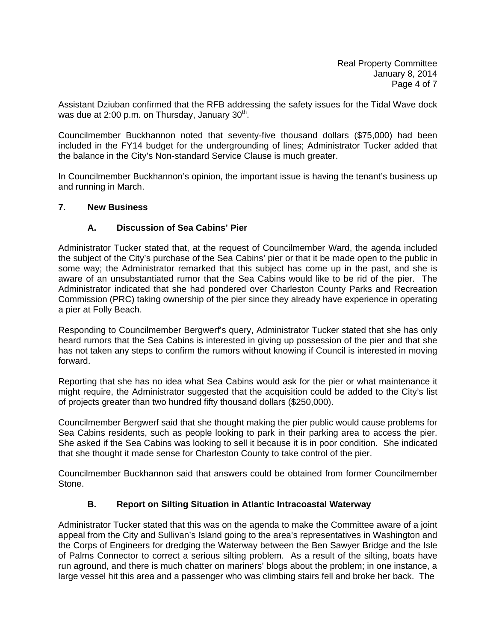Assistant Dziuban confirmed that the RFB addressing the safety issues for the Tidal Wave dock was due at 2:00 p.m. on Thursday, January  $30<sup>th</sup>$ .

Councilmember Buckhannon noted that seventy-five thousand dollars (\$75,000) had been included in the FY14 budget for the undergrounding of lines; Administrator Tucker added that the balance in the City's Non-standard Service Clause is much greater.

In Councilmember Buckhannon's opinion, the important issue is having the tenant's business up and running in March.

### **7. New Business**

### **A. Discussion of Sea Cabins' Pier**

Administrator Tucker stated that, at the request of Councilmember Ward, the agenda included the subject of the City's purchase of the Sea Cabins' pier or that it be made open to the public in some way; the Administrator remarked that this subject has come up in the past, and she is aware of an unsubstantiated rumor that the Sea Cabins would like to be rid of the pier. The Administrator indicated that she had pondered over Charleston County Parks and Recreation Commission (PRC) taking ownership of the pier since they already have experience in operating a pier at Folly Beach.

Responding to Councilmember Bergwerf's query, Administrator Tucker stated that she has only heard rumors that the Sea Cabins is interested in giving up possession of the pier and that she has not taken any steps to confirm the rumors without knowing if Council is interested in moving forward.

Reporting that she has no idea what Sea Cabins would ask for the pier or what maintenance it might require, the Administrator suggested that the acquisition could be added to the City's list of projects greater than two hundred fifty thousand dollars (\$250,000).

Councilmember Bergwerf said that she thought making the pier public would cause problems for Sea Cabins residents, such as people looking to park in their parking area to access the pier. She asked if the Sea Cabins was looking to sell it because it is in poor condition. She indicated that she thought it made sense for Charleston County to take control of the pier.

Councilmember Buckhannon said that answers could be obtained from former Councilmember Stone.

### **B. Report on Silting Situation in Atlantic Intracoastal Waterway**

Administrator Tucker stated that this was on the agenda to make the Committee aware of a joint appeal from the City and Sullivan's Island going to the area's representatives in Washington and the Corps of Engineers for dredging the Waterway between the Ben Sawyer Bridge and the Isle of Palms Connector to correct a serious silting problem. As a result of the silting, boats have run aground, and there is much chatter on mariners' blogs about the problem; in one instance, a large vessel hit this area and a passenger who was climbing stairs fell and broke her back. The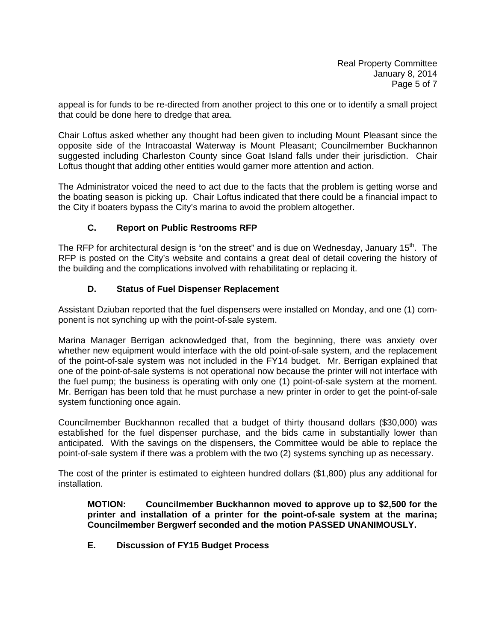appeal is for funds to be re-directed from another project to this one or to identify a small project that could be done here to dredge that area.

Chair Loftus asked whether any thought had been given to including Mount Pleasant since the opposite side of the Intracoastal Waterway is Mount Pleasant; Councilmember Buckhannon suggested including Charleston County since Goat Island falls under their jurisdiction. Chair Loftus thought that adding other entities would garner more attention and action.

The Administrator voiced the need to act due to the facts that the problem is getting worse and the boating season is picking up. Chair Loftus indicated that there could be a financial impact to the City if boaters bypass the City's marina to avoid the problem altogether.

## **C. Report on Public Restrooms RFP**

The RFP for architectural design is "on the street" and is due on Wednesday, January 15<sup>th</sup>. The RFP is posted on the City's website and contains a great deal of detail covering the history of the building and the complications involved with rehabilitating or replacing it.

## **D. Status of Fuel Dispenser Replacement**

Assistant Dziuban reported that the fuel dispensers were installed on Monday, and one (1) component is not synching up with the point-of-sale system.

Marina Manager Berrigan acknowledged that, from the beginning, there was anxiety over whether new equipment would interface with the old point-of-sale system, and the replacement of the point-of-sale system was not included in the FY14 budget. Mr. Berrigan explained that one of the point-of-sale systems is not operational now because the printer will not interface with the fuel pump; the business is operating with only one (1) point-of-sale system at the moment. Mr. Berrigan has been told that he must purchase a new printer in order to get the point-of-sale system functioning once again.

Councilmember Buckhannon recalled that a budget of thirty thousand dollars (\$30,000) was established for the fuel dispenser purchase, and the bids came in substantially lower than anticipated. With the savings on the dispensers, the Committee would be able to replace the point-of-sale system if there was a problem with the two (2) systems synching up as necessary.

The cost of the printer is estimated to eighteen hundred dollars (\$1,800) plus any additional for installation.

**MOTION: Councilmember Buckhannon moved to approve up to \$2,500 for the printer and installation of a printer for the point-of-sale system at the marina; Councilmember Bergwerf seconded and the motion PASSED UNANIMOUSLY.** 

 **E. Discussion of FY15 Budget Process**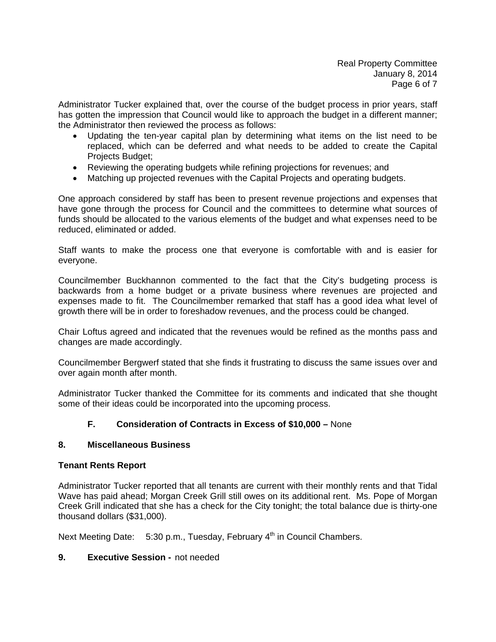Administrator Tucker explained that, over the course of the budget process in prior years, staff has gotten the impression that Council would like to approach the budget in a different manner; the Administrator then reviewed the process as follows:

- Updating the ten-year capital plan by determining what items on the list need to be replaced, which can be deferred and what needs to be added to create the Capital Projects Budget;
- Reviewing the operating budgets while refining projections for revenues; and
- Matching up projected revenues with the Capital Projects and operating budgets.

One approach considered by staff has been to present revenue projections and expenses that have gone through the process for Council and the committees to determine what sources of funds should be allocated to the various elements of the budget and what expenses need to be reduced, eliminated or added.

Staff wants to make the process one that everyone is comfortable with and is easier for everyone.

Councilmember Buckhannon commented to the fact that the City's budgeting process is backwards from a home budget or a private business where revenues are projected and expenses made to fit. The Councilmember remarked that staff has a good idea what level of growth there will be in order to foreshadow revenues, and the process could be changed.

Chair Loftus agreed and indicated that the revenues would be refined as the months pass and changes are made accordingly.

Councilmember Bergwerf stated that she finds it frustrating to discuss the same issues over and over again month after month.

Administrator Tucker thanked the Committee for its comments and indicated that she thought some of their ideas could be incorporated into the upcoming process.

# **F. Consideration of Contracts in Excess of \$10,000 –** None

# **8. Miscellaneous Business**

### **Tenant Rents Report**

Administrator Tucker reported that all tenants are current with their monthly rents and that Tidal Wave has paid ahead; Morgan Creek Grill still owes on its additional rent. Ms. Pope of Morgan Creek Grill indicated that she has a check for the City tonight; the total balance due is thirty-one thousand dollars (\$31,000).

Next Meeting Date:  $5:30$  p.m., Tuesday, February  $4<sup>th</sup>$  in Council Chambers.

### **9. Executive Session -** not needed